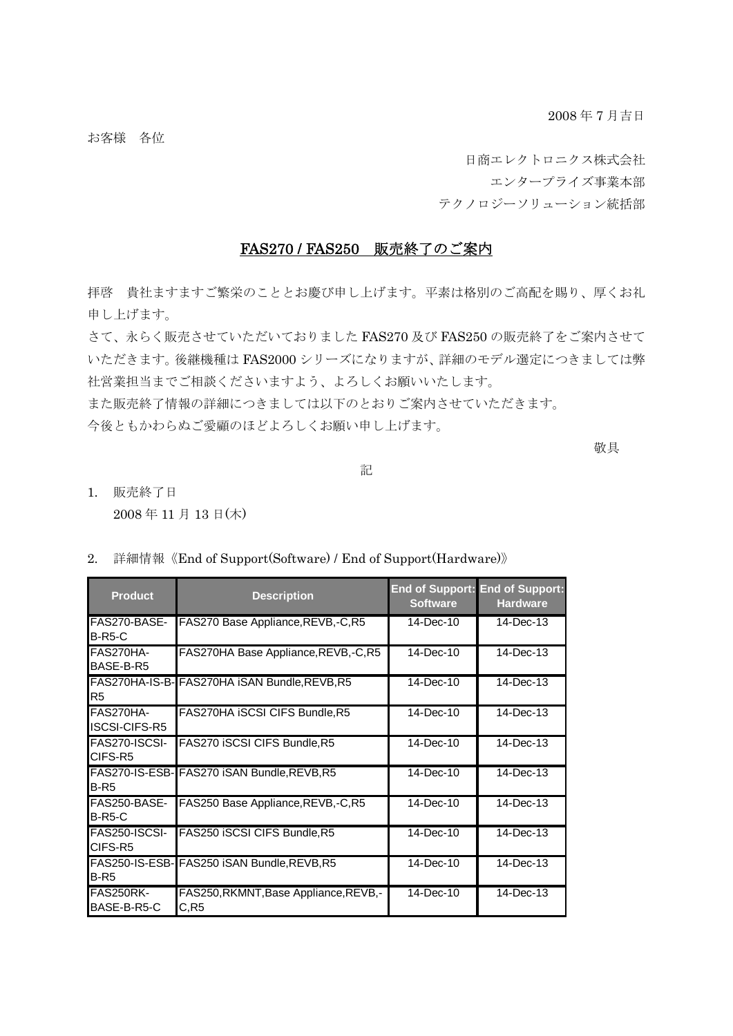2008 年 7 月吉日

お客様 各位

日商エレクトロニクス株式会社 エンタープライズ事業本部 テクノロジーソリューション統括部

## FAS270 / FAS250 販売終了のご案内

拝啓 貴社ますますご繁栄のこととお慶び申し上げます。平素は格別のご高配を賜り、厚くお礼 申し上げます。

さて、永らく販売させていただいておりました FAS270 及び FAS250 の販売終了をご案内させて いただきます。後継機種は FAS2000 シリーズになりますが、詳細のモデル選定につきましては弊 社営業担当までご相談くださいますよう、よろしくお願いいたします。

また販売終了情報の詳細につきましては以下のとおりご案内させていただきます。

今後ともかわらぬご愛顧のほどよろしくお願い申し上げます。

敬具

記

1. 販売終了日 2008 年 11 月 13 日(木)

2. 詳細情報《End of Support(Software) / End of Support(Hardware)》

| <b>Product</b>                    | <b>Description</b>                            | <b>Software</b> | <b>End of Support: End of Support:</b><br><b>Hardware</b> |
|-----------------------------------|-----------------------------------------------|-----------------|-----------------------------------------------------------|
| FAS270-BASE-<br>$B-R5-C$          | FAS270 Base Appliance, REVB, -C, R5           | 14-Dec-10       | $14$ -Dec-13                                              |
| FAS270HA-<br>BASE-B-R5            | FAS270HA Base Appliance, REVB,-C, R5          | $14$ -Dec-10    | 14-Dec-13                                                 |
| R <sub>5</sub>                    | FAS270HA-IS-B-FAS270HA iSAN Bundle, REVB, R5  | 14-Dec-10       | 14-Dec-13                                                 |
| FAS270HA-<br><b>ISCSI-CIFS-R5</b> | FAS270HA iSCSI CIFS Bundle, R5                | $14$ -Dec-10    | $14$ -Dec-13                                              |
| FAS270-ISCSI-<br>CIFS-R5          | FAS270 iSCSI CIFS Bundle, R5                  | $14$ -Dec-10    | $14$ -Dec-13                                              |
| $B-R5$                            | FAS270-IS-ESB- FAS270 ISAN Bundle, REVB, R5   | $14$ -Dec-10    | $14$ -Dec-13                                              |
| FAS250-BASE-<br>$B-R5-C$          | FAS250 Base Appliance, REVB, -C, R5           | 14-Dec-10       | 14-Dec-13                                                 |
| FAS250-ISCSI-<br>CIFS-R5          | FAS250 iSCSI CIFS Bundle, R5                  | 14-Dec-10       | $14$ -Dec-13                                              |
| $B-R5$                            | FAS250-IS-ESB-FAS250 ISAN Bundle, REVB, R5    | 14-Dec-10       | 14-Dec-13                                                 |
| <b>FAS250RK-</b><br>BASE-B-R5-C   | FAS250, RKMNT, Base Appliance, REVB,-<br>C.R5 | 14-Dec-10       | 14-Dec-13                                                 |